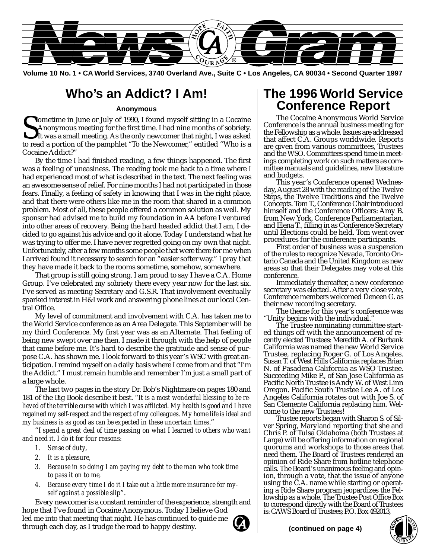

**Volume 10 No. 1 • CA World Services, 3740 Overland Ave., Suite C • Los Angeles, CA 90034 • Second Quarter 1997**

### **Who's an Addict? I Am!**

#### **Anonymous**

Sometime in June or July of 1990, I found myself sitting in a Cocaine<br>Anonymous meeting for the first time. I had nine months of sobriety.<br>It was a small meeting. As the only newcomer that night, I was asked<br>to read a port Anonymous meeting for the first time. I had nine months of sobriety. It was a small meeting. As the only newcomer that night, I was asked to read a portion of the pamphlet "To the Newcomer," entitled "Who is a Cocaine Addict?"

By the time I had finished reading, a few things happened. The first was a feeling of uneasiness. The reading took me back to a time where I had experienced most of what is described in the text. The next feeling was an awesome sense of relief. For nine months I had not participated in those fears. Finally, a feeling of safety in knowing that I was in the right place, and that there were others like me in the room that shared in a common problem. Most of all, these people offered a common solution as well. My sponsor had advised me to build my foundation in AA before I ventured into other areas of recovery. Being the hard headed addict that I am, I decided to go against his advice and go it alone. Today I understand what he was trying to offer me. I have never regretted going on my own that night. Unfortunately, after a few months some people that were there for me when I arrived found it necessary to search for an "easier softer way." I pray that they have made it back to the rooms sometime, somehow, somewhere.

That group is still going strong. I am proud to say I have a C.A. Home Group. I've celebrated my sobriety there every year now for the last six. I've served as meeting Secretary and G.S.R. That involvement eventually sparked interest in H&I work and answering phone lines at our local Central Office.

My level of commitment and involvement with C.A. has taken me to the World Service conference as an Area Delegate. This September will be my third Conference. My first year was as an Alternate. That feeling of being new swept over me then. I made it through with the help of people that came before me. It's hard to describe the gratitude and sense of purpose C.A. has shown me. I look forward to this year's WSC with great anticipation. I remind myself on a daily basis where I come from and that "I'm the Addict." I must remain humble and remember I'm just a small part of a large whole.

The last two pages in the story Dr. Bob's Nightmare on pages 180 and 181 of the Big Book describe it best. "*It is a most wonderful blessing to be relieved of the terrible curse with which I was afflicted. My health is good and I have regained my self-respect and the respect of my colleagues. My home life is ideal and my business is as good as can be expected in these uncertain times*."

"*I spend a great deal of time passing on what I learned to others who want and need it. I do it for four reasons:*

- *1. Sense of duty,*
- *2. It is a pleasure,*
- *3. Because in so doing I am paying my debt to the man who took time to pass it on to me,*
- *4. Because every time I do it I take out a little more insurance for myself against a possible slip*".

Every newcomer is a constant reminder of the experience, strength and hope that I've found in Cocaine Anonymous. Today I believe God led me into that meeting that night. He has continued to guide me through each day, as I trudge the road to happy destiny.

### **The 1996 World Service Conference Report**

The Cocaine Anonymous World Service Conference is the annual business meeting for the Fellowship as a whole. Issues are addressed that affect C.A. Groups worldwide. Reports are given from various committees, Trustees and the WSO. Committees spend time in meetings completing work on such matters as committee manuals and guidelines, new literature and budgets.

This year's Conference opened Wednesday, August 28 with the reading of the Twelve Steps, the Twelve Traditions and the Twelve Concepts. Tom T., Conference Chair introduced himself and the Conference Officers: Amy B. from New York, Conference Parliamentarian, and Elena T., filling in as Conference Secretary until Elections could be held. Tom went over procedures for the conference participants.

First order of business was a suspension of the rules to recognize Nevada, Toronto Ontario Canada and the United Kingdom as new areas so that their Delegates may vote at this conference.

Immediately thereafter, a new conference secretary was elected. After a very close vote, Conference members welcomed Deneen G. as their new recording secretary.

The theme for this year's conference was "Unity begins with the individual."

The Trustee nominating committee started things off with the announcement of recently elected Trustees: Meredith A. of Burbank California was named the new World Service Trustee, replacing Roger G. of Los Angeles. Susan T. of West Hills California replaces Brian N. of Pasadena California as WSO Trustee. Succeeding Mike P., of San Jose California as Pacific North Trustee is Andy W. of West Linn Oregon. Pacific South Trustee Lee A. of Los Angeles California rotates out with Joe S. of San Clemente California replacing him. Welcome to the new Trustees!

Trustee reports began with Sharon S. of Silver Spring, Maryland reporting that she and Chris P. of Tulsa Oklahoma (both Trustees at Large) will be offering information on regional quorums and workshops to those areas that need them. The Board of Trustees rendered an opinion of Ride Share from hotline telephone calls. The Board's unanimous feeling and opinion, through a vote, that the issue of anyone using the C.A. name while starting or operating a Ride Share program jeopardizes the Fellowship as a whole. The Trustee Post Office Box to correspond directly with the Board of Trustees is: CAWS Board of Trustees; P.O. Box 492013,

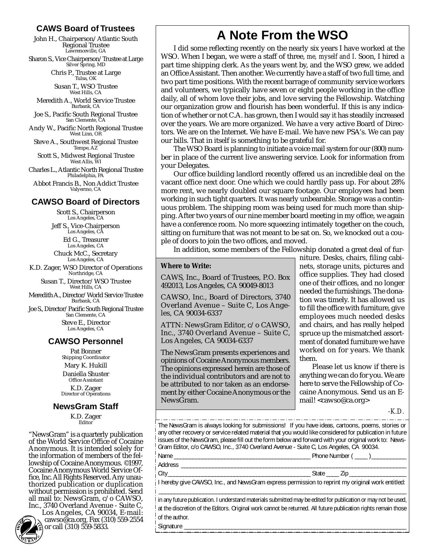#### **CAWS Board of Trustees**

John H., Chairperson/Atlantic South Regional Trustee Lawrenceville, GA

Sharon S., Vice Chairperson/Trustee at Large Silver Spring, MD

Chris P., Trustee at Large Tulsa, OK

Susan T., WSO Trustee West Hills, CA

Meredith A., World Service Trustee Burbank, CA

Joe S., Pacific South Regional Trustee San Clemente, CA

Andy W., Pacific North Regional Trustee West Linn, OR

Steve A., Southwest Regional Trustee Tempe, AZ

Scott S., Midwest Regional Trustee West Allis, WI

Charles L., Atlantic North Regional Trustee Philadelphia, PA

Abbot Francis B., Non Addict Trustee Valyermo, CA

#### **CAWSO Board of Directors**

Scott S., Chairperson Los Angeles, CA Jeff S., Vice-Chairperson Los Angeles, CA Ed G., Treasurer

Los Angeles, CA Chuck McC., Secretary

Los Angeles, CA K.D. Zager, WSO Director of Operations Northridge, CA

> Susan T., Director/WSO Trustee West Hills, CA

Meredith A., Director/World Service Trustee Burbank, CA

Joe S., Director/Pacific South Regional Trustee San Clemente, CA Steve E., Director Los Angeles, CA

#### **CAWSO Personnel**

Pat Bonner Shipping Coordinator Mary K. Hukill Daniella Shuster Office Assistant K.D. Zager Director of Operations

#### **NewsGram Staff**

K.D. Zager **Editor** 

"NewsGram" is a quarterly publication of the World Service Office of Cocaine Anonymous. It is intended solely for the information of members of the fellowship of Cocaine Anonymous. ©1997, Cocaine Anonymous World Service Office, Inc. All Rights Reserved. Any unauthorized publication or duplication without permission is prohibited. Send all mail to: NewsGram, c/o CAWSO, Inc., 3740 Overland Avenue - Suite C,



Los Angeles, CA 90034, E-mail: cawso@ca.org, Fax (310) 559-2554 or call (310) 559-5833. **<sup>H</sup>OP<sup>E</sup>**

### **A Note From the WSO**

I did some reflecting recently on the nearly six years I have worked at the WSO. When I began, we were a staff of three, *me, myself and I*. Soon, I hired a part time shipping clerk. As the years went by, and the WSO grew, we added an Office Assistant. Then another. We currently have a staff of two full time, and two part time positions. With the recent barrage of community service workers and volunteers, we typically have seven or eight people working in the office daily, all of whom love their jobs, and love serving the Fellowship. Watching our organization grow and flourish has been wonderful. If this is any indication of whether or not C.A. has grown, then I would say it has steadily increased over the years. We are more organized. We have a very active Board of Directors. We are on the Internet. We have E-mail. We have new PSA's. We can pay our bills. That in itself is something to be grateful for.

The WSO Board is planning to initiate a voice mail system for our (800) number in place of the current live answering service. Look for information from your Delegates.

Our office building landlord recently offered us an incredible deal on the vacant office next door. One which we could hardly pass up. For about 28% more rent, we nearly doubled our square footage. Our employees had been working in such tight quarters. It was nearly unbearable. Storage was a continuous problem. The shipping room was being used for much more than shipping. After two years of our nine member board meeting in my office, we again have a conference room. No more squeezing intimately together on the couch, sitting on furniture that was not meant to be sat on. So, we knocked out a couple of doors to join the two offices, and moved.

In addition, some members of the Fellowship donated a great deal of fur-

#### **Where to Write:**

CAWS, Inc., Board of Trustees, P.O. Box 492013, Los Angeles, CA 90049-8013

CAWSO, Inc., Board of Directors, 3740 Overland Avenue – Suite C, Los Angeles, CA 90034-6337

ATTN: NewsGram Editor, c/o CAWSO, Inc., 3740 Overland Avenue – Suite C, Los Angeles, CA 90034-6337

The NewsGram presents experiences and opinions of Cocaine Anonymous members. The opinions expressed herein are those of the individual contributors and are not to be attributed to nor taken as an endorsement by either Cocaine Anonymous or the NewsGram.

niture. Desks, chairs, filing cabinets, storage units, pictures and office supplies. They had closed one of their offices, and no longer needed the furnishings. The donation was timely. It has allowed us to fill the office with furniture, give employees much needed desks and chairs, and has really helped spruce up the mismatched assortment of donated furniture we have worked on for years. We thank them.

Please let us know if there is anything we can do for you. We are here to serve the Fellowship of Cocaine Anonymous. Send us an Email! <cawso@ca.org>

*-K.D.*

The NewsGram is always looking for submissions! If you have ideas, cartoons, poems, stories or any other recovery or service related material that you would like considered for publication in future issues of the NewsGram, please fill out the form below and forward with your original work to: News-Gram Editor, c/o CAWSO, Inc., 3740 Overland Avenue - Suite C, Los Angeles, CA 90034. Name \_\_\_\_\_\_\_\_\_\_\_\_\_\_\_\_\_\_\_\_\_\_\_\_\_\_\_\_\_\_\_\_\_\_\_\_\_\_\_\_\_\_\_ Phone Number ( \_\_\_\_ )\_\_\_\_\_\_\_\_\_\_\_

Address \_\_\_\_\_\_\_\_\_\_\_\_\_\_\_\_\_\_\_\_\_\_\_\_\_\_\_\_\_\_\_\_\_\_\_\_\_\_\_\_\_\_\_\_\_\_\_\_\_\_\_\_\_\_\_\_\_\_\_\_\_\_\_\_\_\_\_\_\_\_\_

City\_\_\_\_\_\_\_\_\_\_\_\_\_\_\_\_\_\_\_\_\_\_\_\_\_\_\_\_\_\_\_\_\_\_\_\_\_\_\_\_\_\_\_\_\_ State \_\_\_\_ Zip \_\_\_\_\_\_\_\_\_\_\_\_\_\_\_\_\_\_

I hereby give CAWSO, Inc., and NewsGram express permission to reprint my original work entitled: \_\_\_\_\_\_\_\_\_\_\_\_\_\_\_\_\_\_\_\_\_\_\_\_\_\_\_\_\_\_\_\_\_\_\_\_\_\_\_\_\_\_\_\_\_\_\_\_\_\_\_\_\_\_\_\_\_\_\_\_\_\_\_\_\_\_\_\_\_\_\_\_\_\_\_\_\_\_

In any future publication. I understand materials submitted may be edited for publication or may not be used, at the discretion of the Editors. Original work cannot be returned. All future publication rights remain those of the author. Signature \_\_\_\_\_\_\_\_\_\_\_\_\_\_\_\_\_\_\_\_\_\_\_\_\_\_\_\_\_\_\_\_\_\_\_\_\_\_\_\_\_\_\_\_\_\_\_\_\_\_\_\_\_\_\_\_\_\_\_\_\_\_\_\_\_\_\_\_\_\_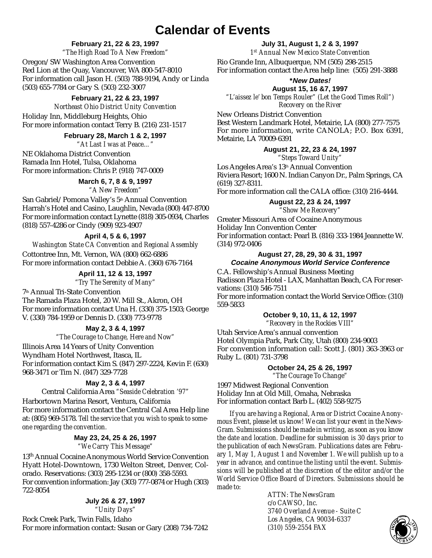### **Calendar of Events**

#### **February 21, 22 & 23, 1997**

*"The High Road To A New Freedom"* Oregon/SW Washington Area Convention Red Lion at the Quay, Vancouver, WA 800-547-8010 For information call Jason H. (503) 788-9194, Andy or Linda (503) 655-7784 or Gary S. (503) 232-3007

#### **February 21, 22 & 23, 1997**

*Northeast Ohio District Unity Convention* Holiday Inn, Middleburg Heights, Ohio For more information contact Terry B. (216) 231-1517

#### **February 28, March 1 & 2, 1997**

*"At Last I was at Peace…"*

NE Oklahoma District Convention Ramada Inn Hotel, Tulsa, Oklahoma For more information: Chris P. (918) 747-0009

#### **March 6, 7, 8 & 9, 1997**

*"A New Freedom"*

San Gabriel/Pomona Valley's 5<sup>th</sup> Annual Convention Harrah's Hotel and Casino, Laughlin, Nevada (800) 447-8700 For more information contact Lynette (818) 305-0934, Charles (818) 557-4286 or Cindy (909) 923-4907

#### **April 4, 5 & 6, 1997**

*Washington State CA Convention and Regional Assembly* Cottontree Inn, Mt. Vernon, WA (800) 662-6886 For more information contact Debbie A. (360) 676-7164

> **April 11, 12 & 13, 1997** *"Try The Serenity of Many"*

7th Annual Tri-State Convention The Ramada Plaza Hotel, 20 W. Mill St., Akron, OH For more information contact Una H. (330) 375-1503; George V. (330) 784-1959 or Dennis D. (330) 773-9778

#### **May 2, 3 & 4, 1997**

*"The Courage to Change, Here and Now"* Illinois Area 14 Years of Unity Convention Wyndham Hotel Northwest, Itasca, IL For information contact Kim S. (847) 297-2224, Kevin F. (630) 968-3471 or Tim N. (847) 329-7728

#### **May 2, 3 & 4, 1997**

Central California Area *"Seaside Celebration '97"*

Harbortown Marina Resort, Ventura, California For more information contact the Central Cal Area Help line at: (805) 969-5178. *Tell the service that you wish to speak to someone regarding the convention.*

#### **May 23, 24, 25 & 26, 1997** *"We Carry This Message"*

13th Annual Cocaine Anonymous World Service Convention Hyatt Hotel-Downtown, 1730 Welton Street, Denver, Colorado. Reservations: (303) 295-1234 or (800) 358-5593. For convention information: Jay (303) 777-0874 or Hugh (303) 722-8054

#### **July 26 & 27, 1997**

*"Unity Days"*

Rock Creek Park, Twin Falls, Idaho For more information contact: Susan or Gary (208) 734-7242

**July 31, August 1, 2 & 3, 1997** *1st Annual New Mexico State Convention* Rio Grande Inn, Albuquerque, NM (505) 298-2515 For information contact the Area help line: (505) 291-3888

#### **\*New Dates!**

**August 15, 16 &7, 1997** *"L'aissez le' bon Temps Rouler" (Let the Good Times Roll") Recovery on the River*

New Orleans District Convention Best Western Landmark Hotel, Metairie, LA (800) 277-7575 For more information, write CANOLA; P.O. Box 6391, Metairie, LA 70009-6391

#### **August 21, 22, 23 & 24, 1997** *"Steps Toward Unity"*

Los Angeles Area's 13th Annual Convention Riviera Resort; 1600 N. Indian Canyon Dr., Palm Springs, CA (619) 327-8311.

For more information call the CALA office: (310) 216-4444.

#### **August 22, 23 & 24, 1997**

*"Show Me Recovery"*

Greater Missouri Area of Cocaine Anonymous Holiday Inn Convention Center For information contact: Pearl B. (816) 333-1984 Jeannette W. (314) 972-0406

#### **August 27, 28, 29, 30 & 31, 1997 Cocaine Anonymous World Service Conference**

C.A. Fellowship's Annual Business Meeting Radisson Plaza Hotel - LAX, Manhattan Beach, CA For reservations: (310) 546-7511 For more information contact the World Service Office: (310) 559-5833

#### **October 9, 10, 11, & 12, 1997** *"Recovery in the Rockies VIII"*

Utah Service Area's annual convention Hotel Olympia Park, Park City, Utah (800) 234-9003 For convention information call: Scott J. (801) 363-3963 or Ruby L. (801) 731-3798

#### **October 24, 25 & 26, 1997**

*"The Courage To Change"*

1997 Midwest Regional Convention Holiday Inn at Old Mill, Omaha, Nebraska For information contact Barb L. (402) 558-9275

*If you are having a Regional, Area or District Cocaine Anonymous Event, please let us know! We can list your event in the News-Gram. Submissions should be made in writing, as soon as you know the date and location. Deadline for submission is 30 days prior to the publication of each NewsGram. Publications dates are: February 1, May 1, August 1 and November 1. We will publish up to a year in advance, and continue the listing until the event. Submissions will be published at the discretion of the editor and/or the World Service Office Board of Directors. Submissions should be made to:*

> *ATTN: The NewsGram c/o CAWSO, Inc. 3740 Overland Avenue - Suite C Los Angeles, CA 90034-6337 (310)* 559-2554 FAX

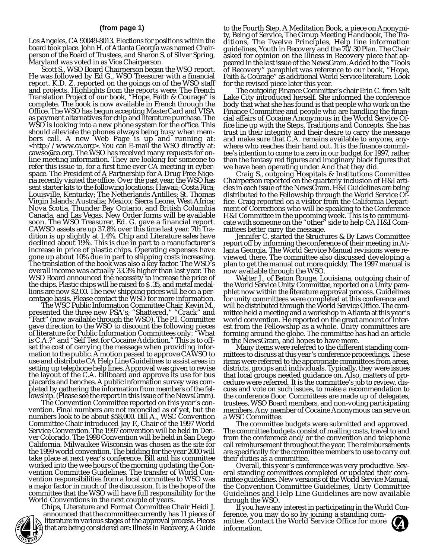#### **(from page 1)**

Los Angeles, CA 90049-8013. Elections for positions within the board took place. John H. of Atlanta Georgia was named Chairperson of the Board of Trustees, and Sharon S. of Silver Spring,

Maryland was voted in as Vice Chairperson. He was followed by Ed G., WSO Treasurer with a financial report. K.D. Z. reported on the goings on of the WSO staff and projects. Highlights from the reports were: The French Translation Project of our book, "Hope, Faith & Courage" is complete. The book is now available in French through the Office. The WSO has begun accepting MasterCard and VISA as payment alternatives for chip and literature purchase. The WSO is looking into a new phone system for the office. This should alleviate the phones always being busy when members call. A new Web Page is up and running at: <http://www.ca.org>. You can E-mail the WSO directly at: cawso@ca.org. The WSO has received many requests for online meeting information. They are looking for someone to refer this issue to, for a first time ever CA meeting in cyberspace. The President of A Partnership for A Drug Free Nigeria recently visited the office. Over the past year, the WSO has sent starter kits to the following locations: Hawaii; Costa Rica; Louisville, Kentucky; The Netherlands Antilles; St. Thomas Virgin Islands; Australia; Mexico; Sierra Leone, West Africa; Nova Scotia, Thunder Bay Ontario, and British Columbia Canada, and Las Vegas. New Order forms will be available soon. The WSO Treasurer, Ed. G. gave a financial report. CAWSO assets are up 37.8% over this time last year. 7th Tradition is up slightly at 1.4%. Chip and Literature sales have declined about 19%. This is due in part to a manufacturer's increase in price of plastic chips. Operating expenses have gone up about 10% due in part to shipping costs increasing. The translation of the book was also a key factor. The WSO's overall income was actually 33.3% higher than last year. The WSO Board announced the necessity to increase the price of the chips. Plastic chips will be raised to \$ .35, and metal medallions are now \$2.00. The new shipping prices will be on a per-

The WSC Public Information Committee Chair, Kevin M., presented the three new PSA's; "Shattered," "Crack" and "Fact" (now available through the WSO). The P.I. Committee gave direction to the WSO to discount the following pieces of literature for Public Information Committees only: "What is C.A.?" and "Self Test for Cocaine Addiction." This is to offset the cost of carrying the message when providing information to the public. A motion passed to approve CAWSO to use and distribute CA Help Line Guidelines to assist areas in setting up telephone help lines. Approval was given to revise the layout of the C.A. billboard and approve its use for bus placards and benches. A public information survey was completed by gathering the information from members of the fellowship. (Please see the report in this issue of the NewsGram).

vention. Final numbers are not reconciled as of yet, but the numbers look to be about \$58,000. Bill A., WSC Convention Committee Chair introduced Jay F., Chair of the 1997 World Service Convention. The 1997 convention will be held in Denver Colorado. The 1998 Convention will be held in San Diego California. Milwaukee Wisconsin was chosen as the site for the 1999 world convention. The bidding for the year 2000 will take place at next year's conference. Bill and his committee worked into the wee hours of the morning updating the Convention Committee Guidelines. The transfer of World Convention responsibilities from a local committee to WSO was a major factor in much of the discussion. It is the hope of the committee that the WSO will have full responsibility for the

Chips, Literature and Format Committee Chair Heidi J. announced that the committee currently has 11 pieces of literature in various stages of the approval process. Pieces **EXECUTE:** Iterature in various stages of the approval process. Pieces — mittee. Con<br>**EXECUTE: That are being considered are: Illness in Recovery, A Guide — information. H**

to the Fourth Step, A Meditation Book, a piece on Anonymity, Being of Service, The Group Meeting Handbook, The Traditions, The Twelve Principles, Help line information guidelines, Youth in Recovery and the 70/30 Plan. The Chair asked for opinion on the Illness in Recovery piece that appeared in the last issue of the NewsGram. Added to the "Tools of Recovery" pamphlet was reference to our book, "Hope, Faith & Courage" as additional World Service literature. Look for the revised piece later this year.

for the revised piece later this year. The outgoing Finance Committee's chair Erin C. from Salt Lake City introduced herself. She informed the conference body that what she has found is that people who work on the Finance Committee and people who are handling the financial affairs of Cocaine Anonymous in the World Service Office line up with the Steps, Traditions and Concepts. She has trust in their integrity and their desire to carry the message and make sure that C.A. remains available to anyone, anywhere who reaches their hand out. It is the finance committee's intention to come to a zero in our budget for 1997, rather than the fantasy red figures and imaginary black figures that

we have been operating under. And that they did. Craig S., outgoing Hospitals & Institutions Committee Chairperson reported on the quarterly inclusion of H&I articles in each issue of the NewsGram. H&I Guidelines are being distributed to the Fellowship through the World Service Office. Craig reported on a visitor from the California Department of Corrections who will be speaking to the Conference H&I Committee in the upcoming week. This is to communicate with someone on the "other" side to help CA H&I Com-

mittees better carry the message. Jennifer C. started the Structures & By Laws Committee report off by informing the conference of their meeting in Atlanta Georgia. The World Service Manual revisions were reviewed there. The committee also discussed developing a plan to get the manual out more quickly. The 1997 manual is

Walter J., of Baton Rouge, Louisiana, outgoing chair of the World Service Unity Committee, reported on a Unity pamphlet now within the literature approval process. Guidelines for unity committees were completed at this conference and will be distributed through the World Service Office. The committee held a meeting and a workshop in Atlanta at this year's world convention. He reported on the great amount of interest from the Fellowship as a whole. Unity committees are forming around the globe. The committee has had an article in the NewsGram, and hopes to have more.<br>Many items were referred to the different standing com-

mittees to discuss at this year's conference proceedings. These items were referred to the appropriate committees from areas, districts, groups and individuals. Typically, they were issues that local groups needed guidance on. Also, matters of procedure were referred. It is the committee's job to review, discuss and vote on such issues, to make a recommendation to the conference floor. Committees are made up of delegates, trustees, WSO Board members, and non-voting participating members. Any member of Cocaine Anonymous can serve on a WSC Committee.<br>The committee budgets were submitted and approved.

The committee budgets consist of mailing costs, travel to and from the conference and/or the convention and telephone call reimbursement throughout the year. The reimbursements are specifically for the committee members to use to carry out their duties as a committee.<br>Overall, this year's conference was very productive. Sev-

eral standing committees completed or updated their committee guidelines. New versions of the World Service Manual, the Convention Committee Guidelines, Unity Committee Guidelines and Help Line Guidelines are now available through the WSO.

If you have any interest in participating in the World Conference, you may do so by joining a standing committee. Contact the World Service Office for more

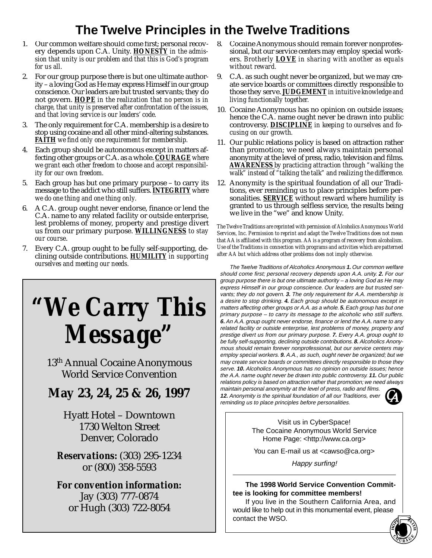### **The Twelve Principles in the Twelve Traditions**

- 1. Our common welfare should come first; personal recovery depends upon C.A. Unity. *HONESTY in the admission that unity is our problem and that this is God's program for us all.*
- 2. For our group purpose there is but one ultimate authority – a loving God as He may express Himself in our group conscience. Our leaders are but trusted servants; they do not govern. *HOPE in the realization that no person is in charge, that unity is preserved after confrontation of the issues, and that loving service is our leaders' code.*
- 3. The only requirement for C.A. membership is a desire to stop using cocaine and all other mind-altering substances. *FAITH we find only one requirement for membership.*
- 4. Each group should be autonomous except in matters affecting other groups or C.A. as a whole. *COURAGE where we grant each other freedom to choose and accept responsibility for our own freedom.*
- 5. Each group has but one primary purpose to carry its message to the addict who still suffers. *INTEGRITY where we do one thing and one thing only.*
- 6. A C.A. group ought never endorse, finance or lend the C.A. name to any related facility or outside enterprise, lest problems of money, property and prestige divert us from our primary purpose. *WILLINGNESS to stay our course*.
- 7. Every C.A. group ought to be fully self-supporting, declining outside contributions. *HUMILITY in supporting ourselves and meeting our needs.*

# *"We Carry This Message"*

13th Annual Cocaine Anonymous World Service Convention

### **May 23, 24, 25 & 26, 1997**

Hyatt Hotel – Downtown 1730 Welton Street Denver, Colorado

*Reservations:* (303) 295-1234 or (800) 358-5593

*For convention information:* Jay (303) 777-0874 or Hugh (303) 722-8054

- 8. Cocaine Anonymous should remain forever nonprofessional, but our service centers may employ special workers. *Brotherly LOVE in sharing with another as equals without reward.*
- 9. C.A. as such ought never be organized, but we may create service boards or committees directly responsible to those they serve. *JUDGEMENT in intuitive knowledge and living functionally together.*
- 10. Cocaine Anonymous has no opinion on outside issues; hence the C.A. name ought never be drawn into public controversy. *DISCIPLINE in keeping to ourselves and focusing on our growth.*
- 11. Our public relations policy is based on attraction rather than promotion; we need always maintain personal anonymity at the level of press, radio, television and films. *AWARENESS by practicing attraction through "walking the walk" instead of "talking the talk" and realizing the difference.*
- 12. Anonymity is the spiritual foundation of all our Traditions, ever reminding us to place principles before personalities. *SERVICE* without reward where humility is granted to us through selfless service, the results being we live in the "we" and know Unity.

*The Twelve Traditions are reprinted with permission of Alcoholics Anonymous World Services, Inc. Permission to reprint and adapt the Twelve Traditions does not mean that AA is affiliated with this program. AA is a program of recovery from alcoholism. Use of the Traditions in connection with programs and activities which are patterned after AA but which address other problems does not imply otherwise.*

The Twelve Traditions of Alcoholics Anonymous **1.** Our common welfare should come first; personal recovery depends upon A.A. unity. **2.** For our group purpose there is but one ultimate authority – a loving God as He may express Himself in our group conscience. Our leaders are but trusted servants; they do not govern. **3.** The only requirement for A.A. membership is a desire to stop drinking. **4.** Each group should be autonomous except in matters affecting other groups or A.A. as a whole. **5.** Each group has but one primary purpose – to carry its message to the alcoholic who still suffers. **6.** An A.A. group ought never endorse, finance or lend the A.A. name to any related facility or outside enterprise, lest problems of money, property and prestige divert us from our primary purpose. **7.** Every A.A. group ought to be fully self-supporting, declining outside contributions. **8.** Alcoholics Anonymous should remain forever nonprofessional, but our service centers may employ special workers. **9.** A.A., as such, ought never be organized; but we may create service boards or committees directly responsible to those they serve. **10.** Alcoholics Anonymous has no opinion on outside issues; hence the A.A. name ought never be drawn into public controversy. **11.** Our public relations policy is based on attraction rather that promotion; we need always maintain personal anonymity at the level of press, radio and films.

**12.** Anonymity is the spiritual foundation of all our Traditions, ever reminding us to place principles before personalities.



Visit us in CyberSpace! The Cocaine Anonymous World Service Home Page: <http://www.ca.org>

You can E-mail us at <cawso@ca.org>

Happy surfing!

#### **The 1998 World Service Convention Committee is looking for committee members!**

If you live in the Southern California Area, and would like to help out in this monumental event, please contact the WSO.

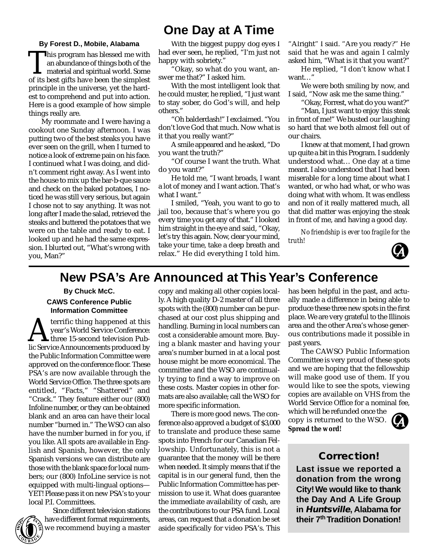### **One Day at A Time**

**By Forest D., Mobile, Alabama** This program has blessed me with<br>an abundance of things both of the<br>material and spiritual world. Some<br>of its best gifts have been the simplest an abundance of things both of the With the biggest puppy dog eyes I had ever seen, he replied, "I'm just not happy with sobriety."

"Okay, so what do you want, answer me that?" I asked him.

With the most intelligent look that he could muster, he replied, "I just want to stay sober, do God's will, and help others."

"Oh balderdash!" I exclaimed. "You don't love God that much. Now what is it that you really want?"

A smile appeared and he asked, "Do you want the truth?"

"Of course I want the truth. What do you want?"

He told me, "I want broads, I want a lot of money and I want action. That's what I want.'

I smiled, "Yeah, you want to go to jail too, because that's where you go every time you get any of that." I looked him straight in the eye and said, "Okay, let's try this again. Now, clear your mind, take your time, take a deep breath and relax." He did everything I told him.

"Alright" I said. "Are you ready?" He said that he was and again I calmly asked him, "What is it that you want?"

He replied, "I don't know what I want…"

We were both smiling by now, and I said, "Now ask me the same thing."

"Okay, Forrest, what do you want?"

"Man, I just want to enjoy this steak in front of me!" We busted our laughing so hard that we both almost fell out of our chairs.

I knew at that moment, I had grown up quite a bit in this Program. I suddenly understood what… One day at a time meant. I also understood that I had been miserable for a long time about what I wanted, or who had what, or who was doing what with whom. It was endless and non of it really mattered much, all that did matter was enjoying the steak in front of me, and having a good day.

*No friendship is ever too fragile for the truth!*



### **New PSA's Are Announced at This Year's Conference**

#### **By Chuck McC. CAWS Conference Public Information Committee**

material and spiritual world. Some of its best gifts have been the simplest principle in the universe, yet the hardest to comprehend and put into action. Here is a good example of how simple

My roommate and I were having a cookout one Sunday afternoon. I was putting two of the best steaks you have ever seen on the grill, when I turned to notice a look of extreme pain on his face. I continued what I was doing, and didn't comment right away. As I went into the house to mix up the bar-b-que sauce and check on the baked potatoes, I noticed he was still very serious, but again I chose not to say anything. It was not long after I made the salad, retrieved the steaks and buttered the potatoes that we were on the table and ready to eat. I looked up and he had the same expression. I blurted out, "What's wrong with

things really are.

you, Man?"

**AN** terrific thing happened at this<br>year's World Service Conference:<br>lic Service Announcements produced by year's World Service Conference: three 15-second television Public Service Announcements produced by the Public Information Committee were approved on the conference floor. These PSA's are now available through the World Service Office. The three spots are entitled, "Facts," "Shattered" and "Crack." They feature either our (800) Infoline number, or they can be obtained blank and an area can have their local number "burned in." The WSO can also have the number burned in for you, if you like. All spots are available in English and Spanish, however, the only Spanish versions we can distribute are those with the blank space for local numbers; our (800) InfoLine service is not equipped with multi-lingual options— YET! Please pass it on new PSA's to your local P.I. Committees.

**HOPE FAITH**  $\frac{C_{U}}{U}$  $R_{\rm A}$  $\left(\bigcap_{U\in\mathcal{N}}\right)$ 

Since different television stations have different format requirements, we recommend buying a master copy and making all other copies locally. A high quality D-2 master of all three spots with the (800) number can be purchased at our cost plus shipping and handling. Burning in local numbers can cost a considerable amount more. Buying a blank master and having your area's number burned in at a local post house might be more economical. The committee and the WSO are continually trying to find a way to improve on these costs. Master copies in other formats are also available; call the WSO for more specific information.

There is more good news. The conference also approved a budget of \$3,000 to translate and produce these same spots into French for our Canadian Fellowship. Unfortunately, this is not a guarantee that the money will be there when needed. It simply means that if the capital is in our general fund, then the Public Information Committee has permission to use it. What does guarantee the immediate availability of cash, are the contributions to our PSA fund. Local areas, can request that a donation be set aside specifically for video PSA's. This

has been helpful in the past, and actually made a difference in being able to produce these three new spots in the first place. We are very grateful to the Illinois area and the other Area's whose generous contributions made it possible in past years.

The CAWSO Public Information Committee is very proud of these spots and we are hoping that the fellowship will make good use of them. If you would like to see the spots, viewing copies are available on VHS from the World Service Office for a nominal fee,

which will be refunded once the copy is returned to the WSO. *Spread the word!*



#### **Correction!**

**Last issue we reported a donation from the wrong City! We would like to thank the Day And A Life Group in Huntsville, Alabama for their 7th Tradition Donation!**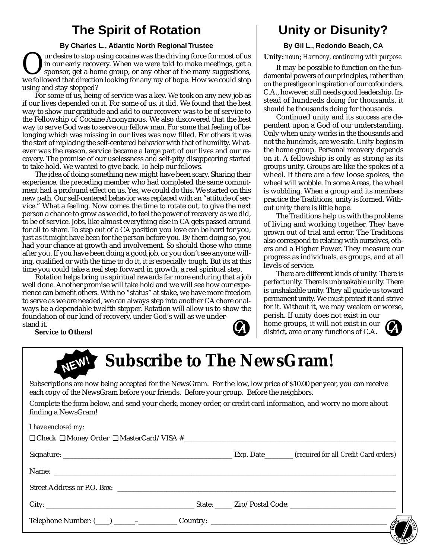### **The Spirit of Rotation**

#### **By Charles L., Atlantic North Regional Trustee**

Uur desire to stop using cocaine was the driving force for most of us<br>in our early recovery. When we were told to make meetings, get a<br>sponsor, get a home group, or any other of the many suggestions,<br>we followed that direc in our early recovery. When we were told to make meetings, get a sponsor, get a home group, or any other of the many suggestions, we followed that direction looking for any ray of hope. How we could stop using and stay stopped?

For some of us, being of service was a key. We took on any new job as if our lives depended on it. For some of us, it did. We found that the best way to show our gratitude and add to our recovery was to be of service to the Fellowship of Cocaine Anonymous. We also discovered that the best way to serve God was to serve our fellow man. For some that feeling of belonging which was missing in our lives was now filled. For others it was the start of replacing the self-centered behavior with that of humility. Whatever was the reason, service became a large part of our lives and our recovery. The promise of our uselessness and self-pity disappearing started to take hold. We wanted to give back. To help our fellows.

The idea of doing something new might have been scary. Sharing their experience, the preceding member who had completed the same commitment had a profound effect on us. Yes, we could do this. We started on this new path. Our self-centered behavior was replaced with an "attitude of service." What a feeling. Now comes the time to rotate out, to give the next person a chance to grow as we did, to feel the power of recovery as we did, to be of service. Jobs, like almost everything else in CA gets passed around for all to share. To step out of a CA position you love can be hard for you, just as it might have been for the person before you. By them doing so, you had your chance at growth and involvement. So should those who come after you. If you have been doing a good job, or you don't see anyone willing, qualified or with the time to do it, it is especially tough. But its at this time you could take a real step forward in growth, a real spiritual step.

Rotation helps bring us spiritual rewards far more enduring that a job well done. Another promise will take hold and we will see how our experience can benefit others. With no "status" at stake, we have more freedom to serve as we are needed, we can always step into another CA chore or always be a dependable twelfth stepper. Rotation will allow us to show the foundation of our kind of recovery, under God's will as we understand it.

**Service to Others!**



### **Unity or Disunity?**

#### **By Gil L., Redondo Beach, CA**

**Unity:** *noun*; *Harmony, continuing with purpose.*

It may be possible to function on the fundamental powers of our principles, rather than on the prestige or inspiration of our cofounders. C.A., however, still needs good leadership. Instead of hundreds doing for thousands, it should be thousands doing for thousands.

Continued unity and its success are dependent upon a God of our understanding. Only when unity works in the thousands and not the hundreds, are we safe. Unity begins in the home group. Personal recovery depends on it. A fellowship is only as strong as its groups unity. Groups are like the spokes of a wheel. If there are a few loose spokes, the wheel will wobble. In some Areas, the wheel is wobbling. When a group and its members practice the Traditions, unity is formed. Without unity there is little hope.

The Traditions help us with the problems of living and working together. They have grown out of trial and error. The Traditions also correspond to relating with ourselves, others and a Higher Power. They measure our progress as individuals, as groups, and at all levels of service.

There are different kinds of unity. There is perfect unity. There is unbreakable unity. There is unshakable unity. They all guide us toward permanent unity. We must protect it and strive for it. Without it, we may weaken or worse,

perish. If unity does not exist in our home groups, it will not exist in our district, area or any functions of C.A.



## **NEW! Subscribe to The NewsGram!**

Subscriptions are now being accepted for the NewsGram. For the low, low price of \$10.00 per year, you can receive each copy of the NewsGram before your friends. Before your group. Before the neighbors.

Complete the form below, and send your check, money order, or credit card information, and worry no more about finding a NewsGram!

|  |  |  | I have enclosed my: |  |
|--|--|--|---------------------|--|
|--|--|--|---------------------|--|

|  | Country: $\overline{\mathcal{S}}$ |
|--|-----------------------------------|